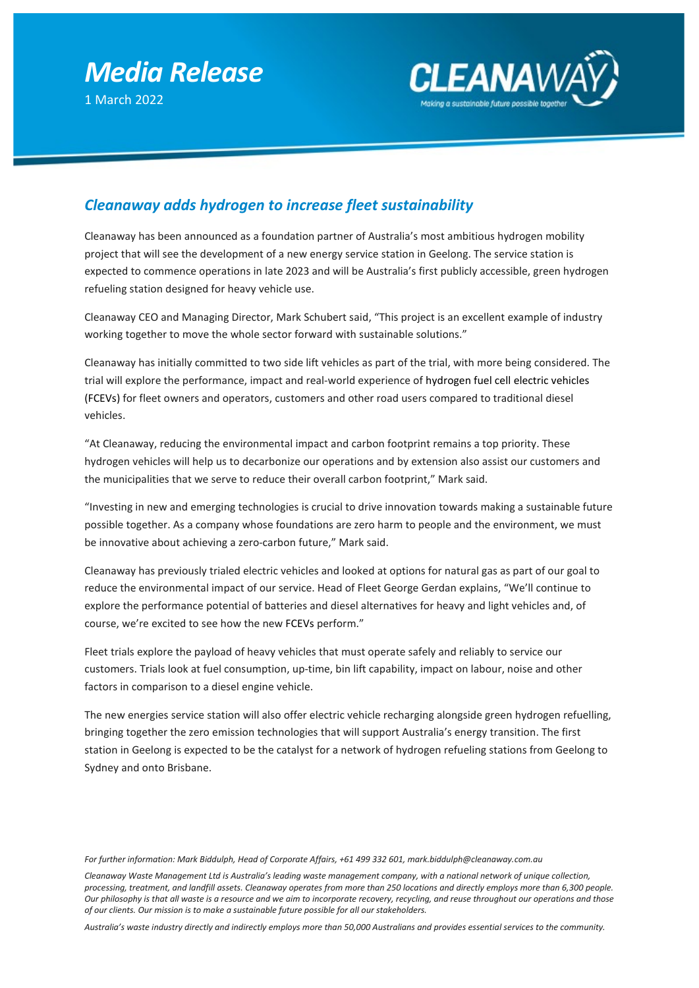

## *Cleanaway adds hydrogen to increase fleet sustainability*

Cleanaway has been announced as a foundation partner of Australia's most ambitious hydrogen mobility project that will see the development of a new energy service station in Geelong. The service station is expected to commence operations in late 2023 and will be Australia's first publicly accessible, green hydrogen refueling station designed for heavy vehicle use.

Cleanaway CEO and Managing Director, Mark Schubert said, "This project is an excellent example of industry working together to move the whole sector forward with sustainable solutions."

Cleanaway has initially committed to two side lift vehicles as part of the trial, with more being considered. The trial will explore the performance, impact and real-world experience of hydrogen fuel cell electric vehicles (FCEVs) for fleet owners and operators, customers and other road users compared to traditional diesel vehicles.

"At Cleanaway, reducing the environmental impact and carbon footprint remains a top priority. These hydrogen vehicles will help us to decarbonize our operations and by extension also assist our customers and the municipalities that we serve to reduce their overall carbon footprint," Mark said.

"Investing in new and emerging technologies is crucial to drive innovation towards making a sustainable future possible together. As a company whose foundations are zero harm to people and the environment, we must be innovative about achieving a zero-carbon future," Mark said.

Cleanaway has previously trialed electric vehicles and looked at options for natural gas as part of our goal to reduce the environmental impact of our service. Head of Fleet George Gerdan explains, "We'll continue to explore the performance potential of batteries and diesel alternatives for heavy and light vehicles and, of course, we're excited to see how the new FCEVs perform."

Fleet trials explore the payload of heavy vehicles that must operate safely and reliably to service our customers. Trials look at fuel consumption, up-time, bin lift capability, impact on labour, noise and other factors in comparison to a diesel engine vehicle.

The new energies service station will also offer electric vehicle recharging alongside green hydrogen refuelling, bringing together the zero emission technologies that will support Australia's energy transition. The first station in Geelong is expected to be the catalyst for a network of hydrogen refueling stations from Geelong to Sydney and onto Brisbane.

*For further information: Mark Biddulph, Head of Corporate Affairs, +61 499 332 601, mark.biddulph@cleanaway.com.au*

*Cleanaway Waste Management Ltd is Australia's leading waste management company, with a national network of unique collection, processing, treatment, and landfill assets. Cleanaway operates from more than 250 locations and directly employs more than 6,300 people. Our philosophy is that all waste is a resource and we aim to incorporate recovery, recycling, and reuse throughout our operations and those of our clients. Our mission is to make a sustainable future possible for all our stakeholders.*

*Australia's waste industry directly and indirectly employs more than 50,000 Australians and provides essential services to the community.*